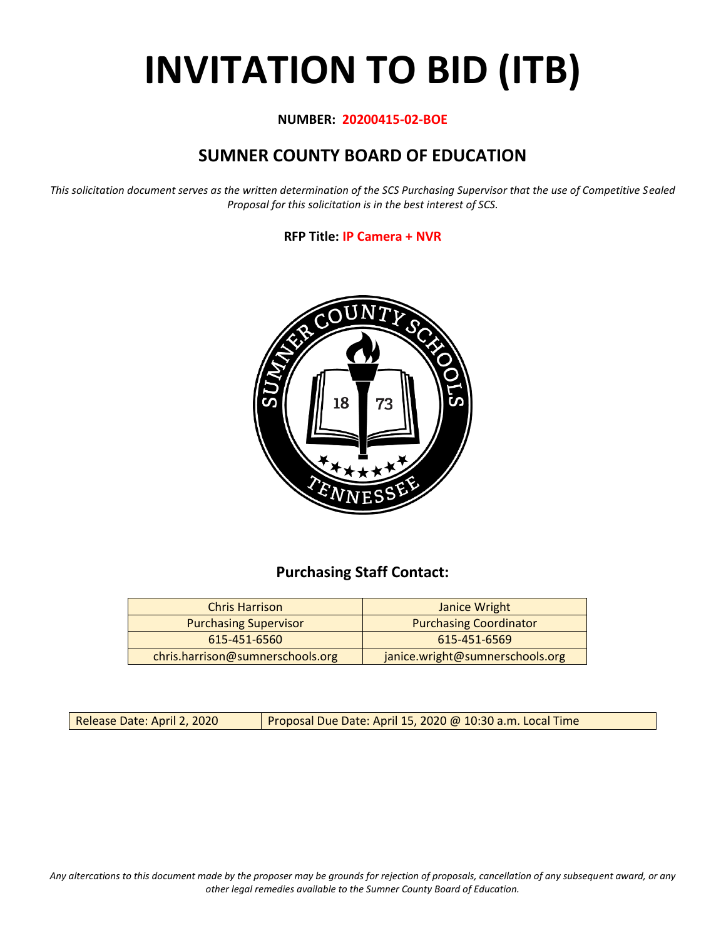# **INVITATION TO BID (ITB)**

## **NUMBER: 20200415-02-BOE**

# **SUMNER COUNTY BOARD OF EDUCATION**

*This solicitation document serves as the written determination of the SCS Purchasing Supervisor that the use of Competitive Sealed Proposal for this solicitation is in the best interest of SCS.*

## **RFP Title: IP Camera + NVR**



## **Purchasing Staff Contact:**

| <b>Chris Harrison</b>            | Janice Wright                   |  |  |
|----------------------------------|---------------------------------|--|--|
| <b>Purchasing Supervisor</b>     | <b>Purchasing Coordinator</b>   |  |  |
| 615-451-6560<br>615-451-6569     |                                 |  |  |
| chris.harrison@sumnerschools.org | janice.wright@sumnerschools.org |  |  |

Release Date: April 2, 2020 | Proposal Due Date: April 15, 2020 @ 10:30 a.m. Local Time

*Any altercations to this document made by the proposer may be grounds for rejection of proposals, cancellation of any subsequent award, or any other legal remedies available to the Sumner County Board of Education.*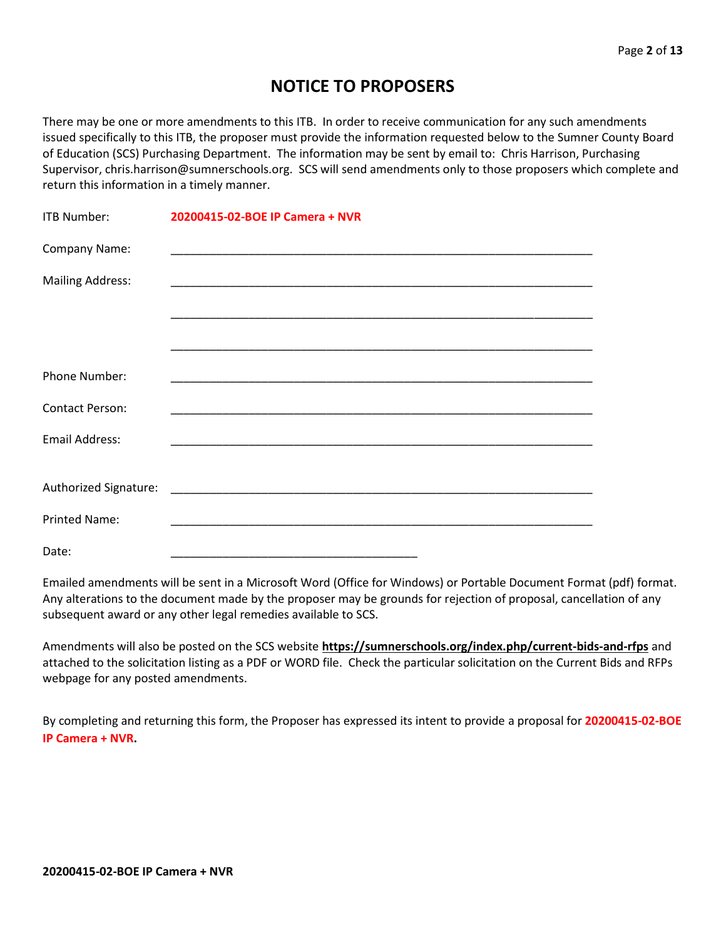## **NOTICE TO PROPOSERS**

There may be one or more amendments to this ITB. In order to receive communication for any such amendments issued specifically to this ITB, the proposer must provide the information requested below to the Sumner County Board of Education (SCS) Purchasing Department. The information may be sent by email to: Chris Harrison, Purchasing Supervisor, chris.harrison@sumnerschools.org. SCS will send amendments only to those proposers which complete and return this information in a timely manner.

| <b>ITB Number:</b>      | 20200415-02-BOE IP Camera + NVR |
|-------------------------|---------------------------------|
| Company Name:           |                                 |
| <b>Mailing Address:</b> |                                 |
|                         |                                 |
|                         |                                 |
| <b>Phone Number:</b>    |                                 |
| <b>Contact Person:</b>  |                                 |
| <b>Email Address:</b>   |                                 |
|                         |                                 |
|                         |                                 |
| <b>Printed Name:</b>    |                                 |
| Date:                   |                                 |

Emailed amendments will be sent in a Microsoft Word (Office for Windows) or Portable Document Format (pdf) format. Any alterations to the document made by the proposer may be grounds for rejection of proposal, cancellation of any subsequent award or any other legal remedies available to SCS.

Amendments will also be posted on the SCS website **https://sumnerschools.org/index.php/current-bids-and-rfps** and attached to the solicitation listing as a PDF or WORD file. Check the particular solicitation on the Current Bids and RFPs webpage for any posted amendments.

By completing and returning this form, the Proposer has expressed its intent to provide a proposal for **20200415-02-BOE IP Camera + NVR.**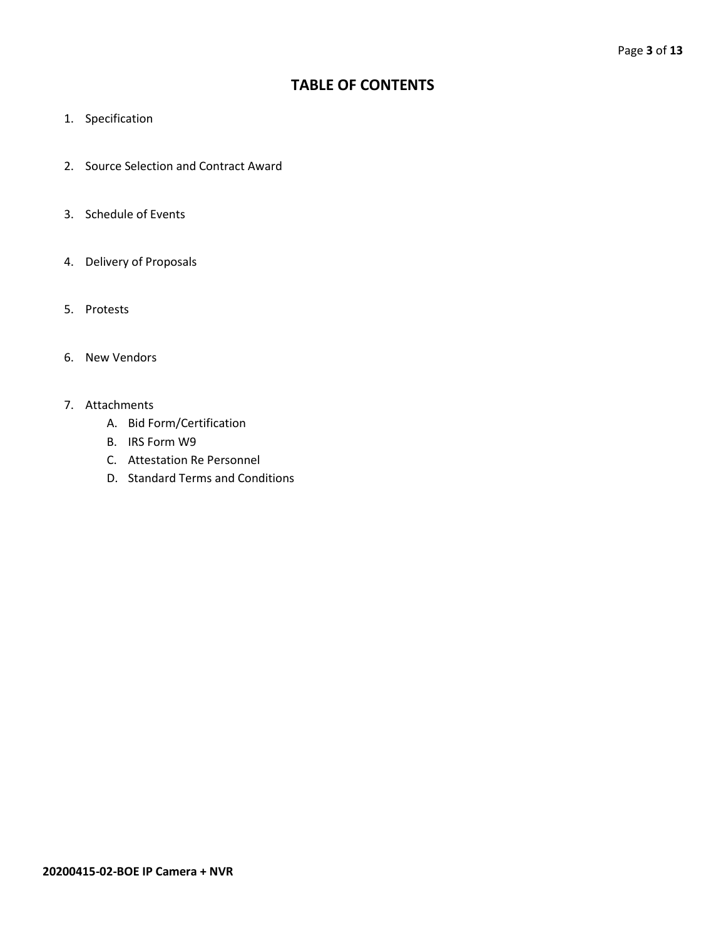## **TABLE OF CONTENTS**

- 1. Specification
- 2. Source Selection and Contract Award
- 3. Schedule of Events
- 4. Delivery of Proposals
- 5. Protests
- 6. New Vendors
- 7. Attachments
	- A. Bid Form/Certification
	- B. IRS Form W9
	- C. Attestation Re Personnel
	- D. Standard Terms and Conditions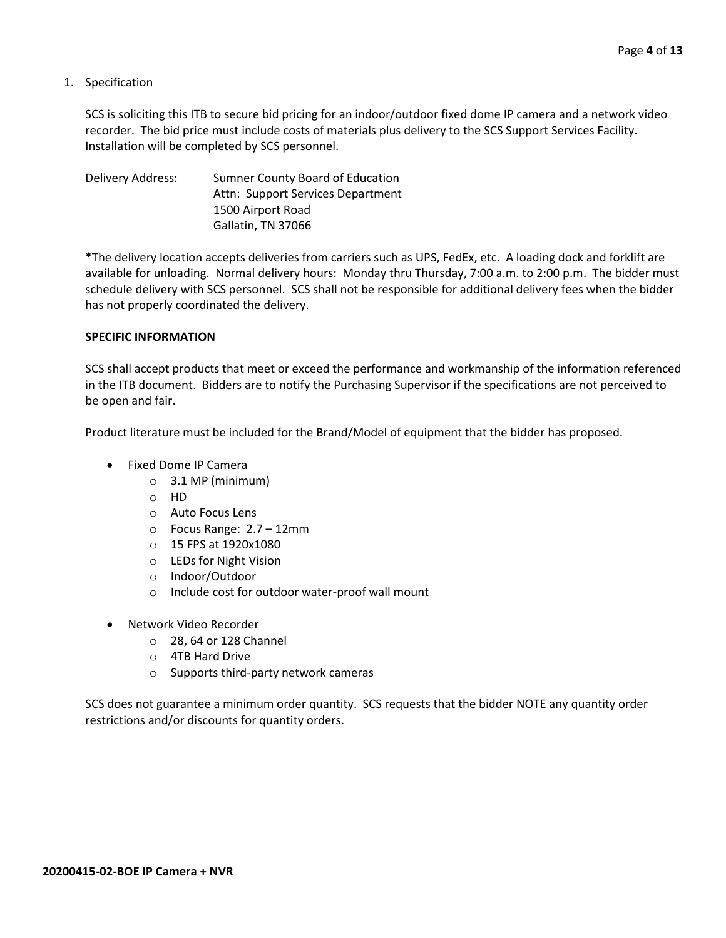1. Specification

SCS is soliciting this ITB to secure bid pricing for an indoor/outdoor fixed dome IP camera and a network video recorder. The bid price must include costs of materials plus delivery to the SCS Support Services Facility. Installation will be completed by SCS personnel.

Delivery Address: Sumner County Board of Education Attn: Support Services Department 1500 Airport Road Gallatin, TN 37066

\*The delivery location accepts deliveries from carriers such as UPS, FedEx, etc. A loading dock and forklift are available for unloading. Normal delivery hours: Monday thru Thursday, 7:00 a.m. to 2:00 p.m. The bidder must schedule delivery with SCS personnel. SCS shall not be responsible for additional delivery fees when the bidder has not properly coordinated the delivery.

### **SPECIFIC INFORMATION**

SCS shall accept products that meet or exceed the performance and workmanship of the information referenced in the ITB document. Bidders are to notify the Purchasing Supervisor if the specifications are not perceived to be open and fair.

Product literature must be included for the Brand/Model of equipment that the bidder has proposed.

- Fixed Dome IP Camera
	- $\circ$  3.1 MP (minimum)
	- o HD
	- o Auto Focus Lens
	- o Focus Range: 2.7 12mm
	- o 15 FPS at 1920x1080
	- o LEDs for Night Vision
	- o Indoor/Outdoor
	- o Include cost for outdoor water-proof wall mount
- Network Video Recorder
	- o 28, 64 or 128 Channel
	- o 4TB Hard Drive
	- o Supports third-party network cameras

SCS does not guarantee a minimum order quantity. SCS requests that the bidder NOTE any quantity order restrictions and/or discounts for quantity orders.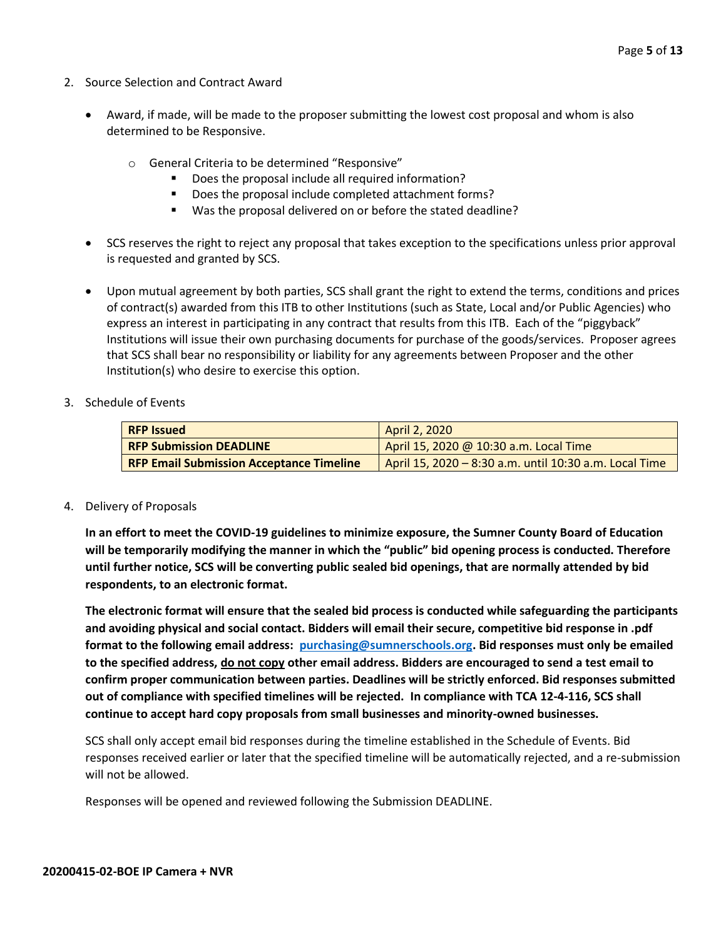- 2. Source Selection and Contract Award
	- Award, if made, will be made to the proposer submitting the lowest cost proposal and whom is also determined to be Responsive.
		- o General Criteria to be determined "Responsive"
			- Does the proposal include all required information?
			- Does the proposal include completed attachment forms?
			- Was the proposal delivered on or before the stated deadline?
	- SCS reserves the right to reject any proposal that takes exception to the specifications unless prior approval is requested and granted by SCS.
	- Upon mutual agreement by both parties, SCS shall grant the right to extend the terms, conditions and prices of contract(s) awarded from this ITB to other Institutions (such as State, Local and/or Public Agencies) who express an interest in participating in any contract that results from this ITB. Each of the "piggyback" Institutions will issue their own purchasing documents for purchase of the goods/services. Proposer agrees that SCS shall bear no responsibility or liability for any agreements between Proposer and the other Institution(s) who desire to exercise this option.
- 3. Schedule of Events

| <b>RFP Issued</b>                               | <b>April 2, 2020</b>                                   |
|-------------------------------------------------|--------------------------------------------------------|
| <b>RFP Submission DEADLINE</b>                  | April 15, 2020 @ 10:30 a.m. Local Time                 |
| <b>RFP Email Submission Acceptance Timeline</b> | April 15, 2020 – 8:30 a.m. until 10:30 a.m. Local Time |

#### 4. Delivery of Proposals

**In an effort to meet the COVID-19 guidelines to minimize exposure, the Sumner County Board of Education will be temporarily modifying the manner in which the "public" bid opening process is conducted. Therefore until further notice, SCS will be converting public sealed bid openings, that are normally attended by bid respondents, to an electronic format.**

**The electronic format will ensure that the sealed bid process is conducted while safeguarding the participants and avoiding physical and social contact. Bidders will email their secure, competitive bid response in .pdf format to the following email address: [purchasing@sumnerschools.org.](mailto:purchasing@sumnerschools.org) Bid responses must only be emailed to the specified address, do not copy other email address. Bidders are encouraged to send a test email to confirm proper communication between parties. Deadlines will be strictly enforced. Bid responses submitted out of compliance with specified timelines will be rejected. In compliance with TCA 12-4-116, SCS shall continue to accept hard copy proposals from small businesses and minority-owned businesses.**

SCS shall only accept email bid responses during the timeline established in the Schedule of Events. Bid responses received earlier or later that the specified timeline will be automatically rejected, and a re-submission will not be allowed.

Responses will be opened and reviewed following the Submission DEADLINE.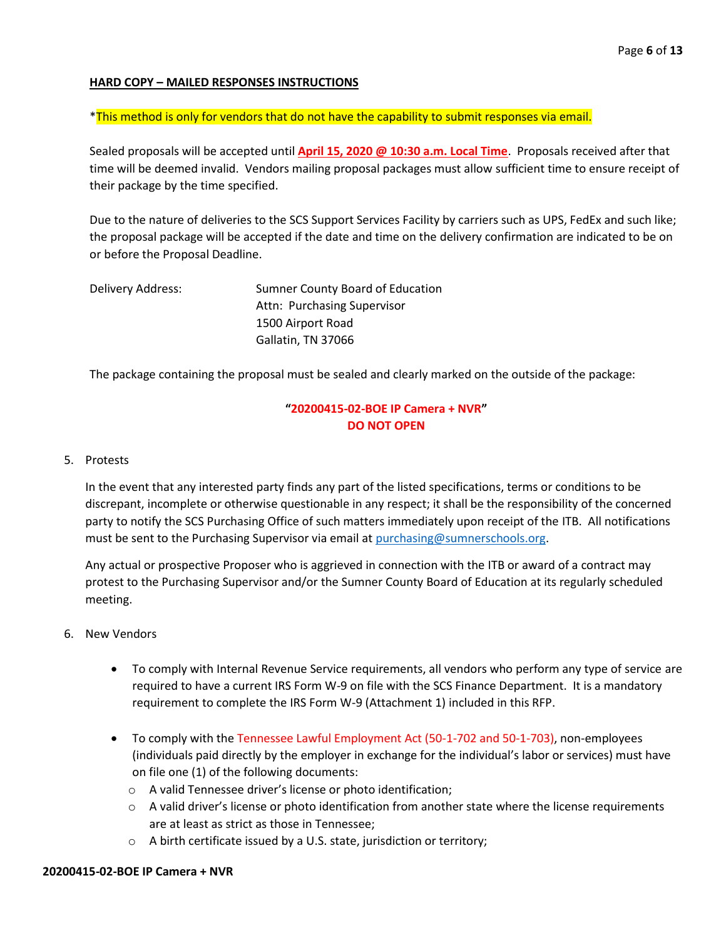## **HARD COPY – MAILED RESPONSES INSTRUCTIONS**

\*This method is only for vendors that do not have the capability to submit responses via email.

Sealed proposals will be accepted until **April 15, 2020 @ 10:30 a.m. Local Time**. Proposals received after that time will be deemed invalid. Vendors mailing proposal packages must allow sufficient time to ensure receipt of their package by the time specified.

Due to the nature of deliveries to the SCS Support Services Facility by carriers such as UPS, FedEx and such like; the proposal package will be accepted if the date and time on the delivery confirmation are indicated to be on or before the Proposal Deadline.

| Delivery Address: | Sumner County Board of Education |
|-------------------|----------------------------------|
|                   | Attn: Purchasing Supervisor      |
|                   | 1500 Airport Road                |
|                   | Gallatin, TN 37066               |

The package containing the proposal must be sealed and clearly marked on the outside of the package:

## **"20200415-02-BOE IP Camera + NVR" DO NOT OPEN**

### 5. Protests

In the event that any interested party finds any part of the listed specifications, terms or conditions to be discrepant, incomplete or otherwise questionable in any respect; it shall be the responsibility of the concerned party to notify the SCS Purchasing Office of such matters immediately upon receipt of the ITB. All notifications must be sent to the Purchasing Supervisor via email at [purchasing@sumnerschools.org.](mailto:purchasing@sumnerschools.org)

Any actual or prospective Proposer who is aggrieved in connection with the ITB or award of a contract may protest to the Purchasing Supervisor and/or the Sumner County Board of Education at its regularly scheduled meeting.

- 6. New Vendors
	- To comply with Internal Revenue Service requirements, all vendors who perform any type of service are required to have a current IRS Form W-9 on file with the SCS Finance Department. It is a mandatory requirement to complete the IRS Form W-9 (Attachment 1) included in this RFP.
	- To comply with the Tennessee Lawful Employment Act (50-1-702 and 50-1-703), non-employees (individuals paid directly by the employer in exchange for the individual's labor or services) must have on file one (1) of the following documents:
		- o A valid Tennessee driver's license or photo identification;
		- $\circ$  A valid driver's license or photo identification from another state where the license requirements are at least as strict as those in Tennessee;
		- o A birth certificate issued by a U.S. state, jurisdiction or territory;

#### **20200415-02-BOE IP Camera + NVR**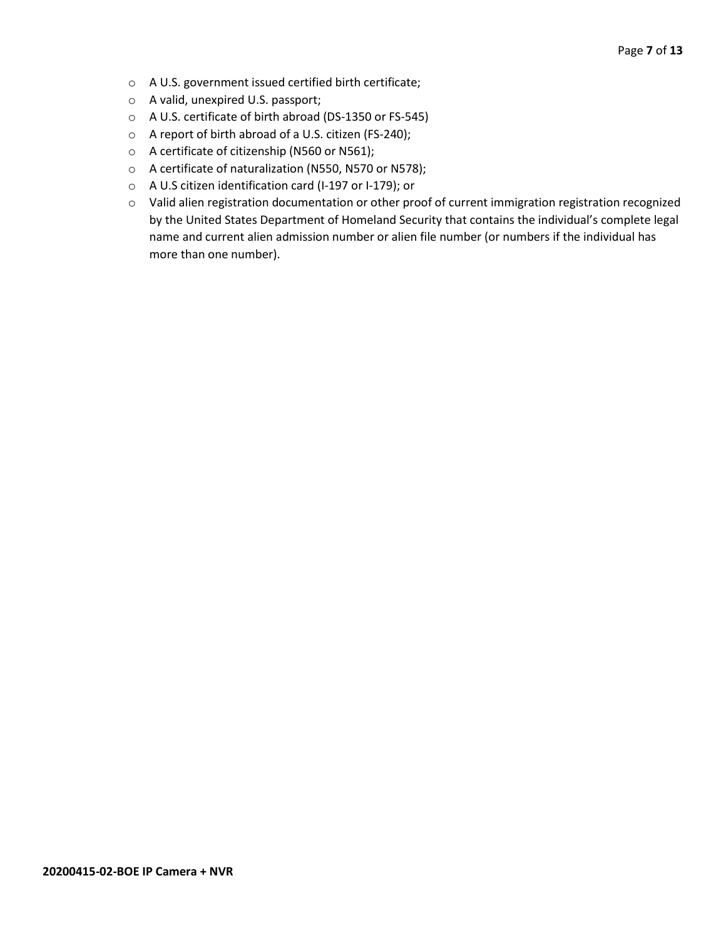- o A U.S. government issued certified birth certificate;
- o A valid, unexpired U.S. passport;
- o A U.S. certificate of birth abroad (DS-1350 or FS-545)
- o A report of birth abroad of a U.S. citizen (FS-240);
- o A certificate of citizenship (N560 or N561);
- o A certificate of naturalization (N550, N570 or N578);
- o A U.S citizen identification card (I-197 or I-179); or
- o Valid alien registration documentation or other proof of current immigration registration recognized by the United States Department of Homeland Security that contains the individual's complete legal name and current alien admission number or alien file number (or numbers if the individual has more than one number).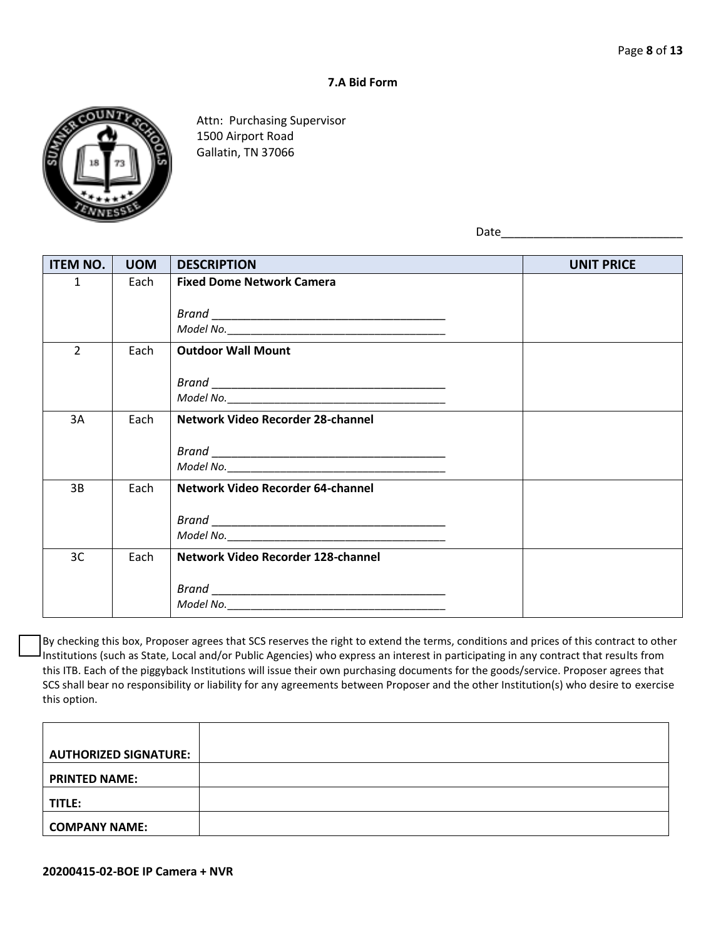## **7.A Bid Form**



Attn: Purchasing Supervisor 1500 Airport Road Gallatin, TN 37066

Date\_\_\_\_\_\_\_\_\_\_\_\_\_\_\_\_\_\_\_\_\_\_\_\_\_\_\_\_

| <b>ITEM NO.</b> | <b>UOM</b> | <b>DESCRIPTION</b>                 | <b>UNIT PRICE</b> |
|-----------------|------------|------------------------------------|-------------------|
| $\mathbf{1}$    | Each       | <b>Fixed Dome Network Camera</b>   |                   |
|                 |            |                                    |                   |
|                 |            |                                    |                   |
| $\overline{2}$  | Each       | <b>Outdoor Wall Mount</b>          |                   |
|                 |            |                                    |                   |
|                 |            |                                    |                   |
|                 |            |                                    |                   |
| 3A              | Each       | Network Video Recorder 28-channel  |                   |
|                 |            |                                    |                   |
|                 |            |                                    |                   |
|                 |            |                                    |                   |
| 3B              | Each       | Network Video Recorder 64-channel  |                   |
|                 |            |                                    |                   |
|                 |            |                                    |                   |
| 3C              | Each       | Network Video Recorder 128-channel |                   |
|                 |            |                                    |                   |
|                 |            |                                    |                   |
|                 |            |                                    |                   |

By checking this box, Proposer agrees that SCS reserves the right to extend the terms, conditions and prices of this contract to other Institutions (such as State, Local and/or Public Agencies) who express an interest in participating in any contract that results from this ITB. Each of the piggyback Institutions will issue their own purchasing documents for the goods/service. Proposer agrees that SCS shall bear no responsibility or liability for any agreements between Proposer and the other Institution(s) who desire to exercise this option.

| <b>AUTHORIZED SIGNATURE:</b> |  |
|------------------------------|--|
| <b>PRINTED NAME:</b>         |  |
| <b>TITLE:</b>                |  |
| <b>COMPANY NAME:</b>         |  |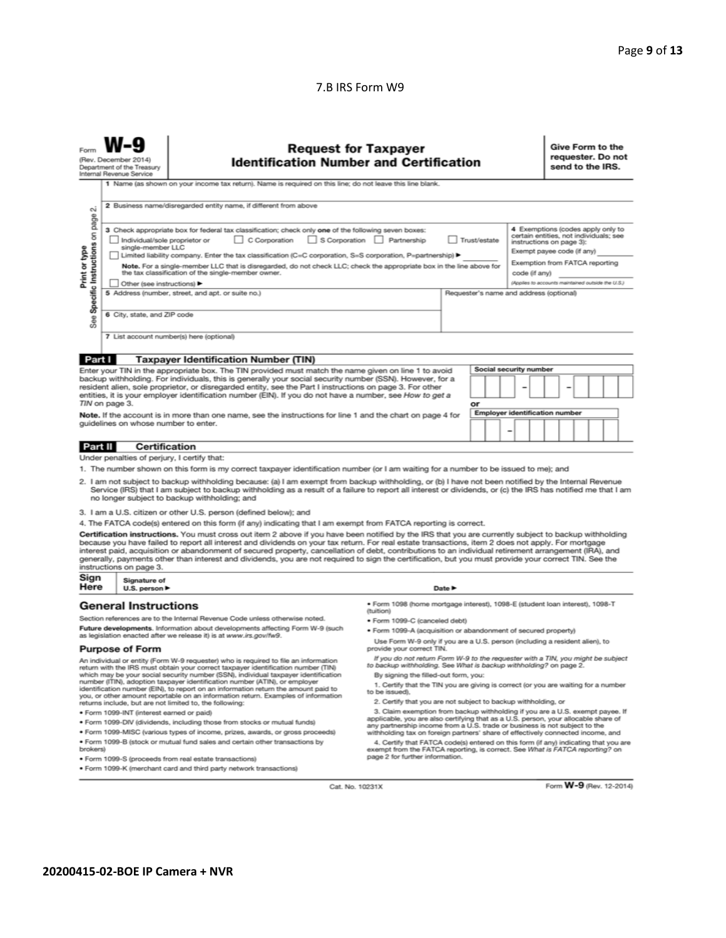## 7.B IRS Form W9

|                                                                                                                                                                                                                                                                                                                                                                                                                                                                                                                                                                                                                                                                                                                                                                                                                                                                                                                                                                                                                                                                                                                                                                                                                                                                                                                                                                                                               | <b>Request for Taxpayer</b><br>(Rev. December 2014)<br><b>Identification Number and Certification</b><br>Department of the Treasury<br>Internal Revenue Service<br>1 Name (as shown on your income tax return). Name is required on this line; do not leave this line blank. |                                                                    |                                                                                                                                                                                                                                                                                                                                                                                                                                                                                                                                                                                                                                                                                                                                                                                                                                                                                                                                                                                                                                                                                                                                                                                                                                     |                            |  |  |  |  | Give Form to the<br>requester. Do not<br>send to the IRS. |  |  |  |  |
|---------------------------------------------------------------------------------------------------------------------------------------------------------------------------------------------------------------------------------------------------------------------------------------------------------------------------------------------------------------------------------------------------------------------------------------------------------------------------------------------------------------------------------------------------------------------------------------------------------------------------------------------------------------------------------------------------------------------------------------------------------------------------------------------------------------------------------------------------------------------------------------------------------------------------------------------------------------------------------------------------------------------------------------------------------------------------------------------------------------------------------------------------------------------------------------------------------------------------------------------------------------------------------------------------------------------------------------------------------------------------------------------------------------|------------------------------------------------------------------------------------------------------------------------------------------------------------------------------------------------------------------------------------------------------------------------------|--------------------------------------------------------------------|-------------------------------------------------------------------------------------------------------------------------------------------------------------------------------------------------------------------------------------------------------------------------------------------------------------------------------------------------------------------------------------------------------------------------------------------------------------------------------------------------------------------------------------------------------------------------------------------------------------------------------------------------------------------------------------------------------------------------------------------------------------------------------------------------------------------------------------------------------------------------------------------------------------------------------------------------------------------------------------------------------------------------------------------------------------------------------------------------------------------------------------------------------------------------------------------------------------------------------------|----------------------------|--|--|--|--|-----------------------------------------------------------|--|--|--|--|
| 2 Business name/disregarded entity name, if different from above<br>σû<br>page<br>4 Exemptions (codes apply only to<br>3 Check appropriate box for federal tax classification; check only one of the following seven boxes:<br>Specific Instructions on<br>certain entities, not individuals; see<br>C Corporation<br>S Corporation Partnership<br>Individual/sole proprietor or<br>Trust/estate<br>instructions on page 3):<br>single-member LLC<br>Print or type<br>Exempt payee code (if any)<br>Limited liability company. Enter the tax classification (C=C corporation, S=S corporation, P=partnership) ▶<br>Exemption from FATCA reporting<br>Note. For a single-member LLC that is disregarded, do not check LLC; check the appropriate box in the line above for<br>the tax classification of the single-member owner.<br>code (if anv)<br>(Applies to accounts maintained outside the U.S.)<br>Other (see instructions)<br>5 Address (number, street, and apt. or suite no.)<br>Requester's name and address (optional)<br>6 City, state, and ZIP code<br>See<br>7 List account number(s) here (optional)                                                                                                                                                                                                                                                                                           |                                                                                                                                                                                                                                                                              |                                                                    |                                                                                                                                                                                                                                                                                                                                                                                                                                                                                                                                                                                                                                                                                                                                                                                                                                                                                                                                                                                                                                                                                                                                                                                                                                     |                            |  |  |  |  |                                                           |  |  |  |  |
|                                                                                                                                                                                                                                                                                                                                                                                                                                                                                                                                                                                                                                                                                                                                                                                                                                                                                                                                                                                                                                                                                                                                                                                                                                                                                                                                                                                                               |                                                                                                                                                                                                                                                                              |                                                                    |                                                                                                                                                                                                                                                                                                                                                                                                                                                                                                                                                                                                                                                                                                                                                                                                                                                                                                                                                                                                                                                                                                                                                                                                                                     |                            |  |  |  |  |                                                           |  |  |  |  |
| Part I<br><b>Taxpayer Identification Number (TIN)</b><br>Social security number<br>Enter your TIN in the appropriate box. The TIN provided must match the name given on line 1 to avoid<br>backup withholding. For individuals, this is generally your social security number (SSN). However, for a<br>resident alien, sole proprietor, or disregarded entity, see the Part I instructions on page 3. For other<br>entities, it is your employer identification number (EIN). If you do not have a number, see How to get a<br>TIN on page 3.<br>or<br><b>Employer identification number</b><br>Note. If the account is in more than one name, see the instructions for line 1 and the chart on page 4 for<br>guidelines on whose number to enter.                                                                                                                                                                                                                                                                                                                                                                                                                                                                                                                                                                                                                                                            |                                                                                                                                                                                                                                                                              |                                                                    |                                                                                                                                                                                                                                                                                                                                                                                                                                                                                                                                                                                                                                                                                                                                                                                                                                                                                                                                                                                                                                                                                                                                                                                                                                     |                            |  |  |  |  |                                                           |  |  |  |  |
| <b>Part II</b>                                                                                                                                                                                                                                                                                                                                                                                                                                                                                                                                                                                                                                                                                                                                                                                                                                                                                                                                                                                                                                                                                                                                                                                                                                                                                                                                                                                                | <b>Certification</b>                                                                                                                                                                                                                                                         |                                                                    |                                                                                                                                                                                                                                                                                                                                                                                                                                                                                                                                                                                                                                                                                                                                                                                                                                                                                                                                                                                                                                                                                                                                                                                                                                     |                            |  |  |  |  |                                                           |  |  |  |  |
| Under penalties of perjury, I certify that:<br>1. The number shown on this form is my correct taxpayer identification number (or I am waiting for a number to be issued to me); and<br>2. I am not subject to backup withholding because: (a) I am exempt from backup withholding, or (b) I have not been notified by the Internal Revenue<br>Service (IRS) that I am subject to backup withholding as a result of a failure to report all interest or dividends, or (c) the IRS has notified me that I am<br>no longer subject to backup withholding; and<br>3. I am a U.S. citizen or other U.S. person (defined below); and<br>4. The FATCA code(s) entered on this form (if any) indicating that I am exempt from FATCA reporting is correct.<br>Certification instructions. You must cross out item 2 above if you have been notified by the IRS that you are currently subject to backup withholding<br>because you have failed to report all interest and dividends on your tax return. For real estate transactions, item 2 does not apply. For mortgage<br>interest paid, acquisition or abandonment of secured property, cancellation of debt, contributions to an individual retirement arrangement (IRA), and<br>generally, payments other than interest and dividends, you are not required to sign the certification, but you must provide your correct TIN. See the<br>instructions on page 3. |                                                                                                                                                                                                                                                                              |                                                                    |                                                                                                                                                                                                                                                                                                                                                                                                                                                                                                                                                                                                                                                                                                                                                                                                                                                                                                                                                                                                                                                                                                                                                                                                                                     |                            |  |  |  |  |                                                           |  |  |  |  |
| Sign<br>Here                                                                                                                                                                                                                                                                                                                                                                                                                                                                                                                                                                                                                                                                                                                                                                                                                                                                                                                                                                                                                                                                                                                                                                                                                                                                                                                                                                                                  | Signature of<br>U.S. person $\blacktriangleright$                                                                                                                                                                                                                            |                                                                    |                                                                                                                                                                                                                                                                                                                                                                                                                                                                                                                                                                                                                                                                                                                                                                                                                                                                                                                                                                                                                                                                                                                                                                                                                                     | Date $\blacktriangleright$ |  |  |  |  |                                                           |  |  |  |  |
| <b>General Instructions</b><br>Section references are to the Internal Revenue Code unless otherwise noted.<br>Future developments. Information about developments affecting Form W-9 (such<br>as legislation enacted after we release it) is at www.irs.gov/fw9.<br><b>Purpose of Form</b><br>An individual or entity (Form W-9 requester) who is required to file an information<br>return with the IRS must obtain your correct taxpayer identification number (TIN)<br>which may be your social security number (SSN), individual taxpayer identification<br>number (ITIN), adoption taxpayer identification number (ATIN), or employer<br>identification number (EIN), to report on an information return the amount paid to<br>you, or other amount reportable on an information return. Examples of information<br>returns include, but are not limited to, the following:<br>· Form 1099-INT (interest earned or paid)<br>. Form 1099-DIV (dividends, including those from stocks or mutual funds)<br>. Form 1099-MISC (various types of income, prizes, awards, or gross proceeds)<br>. Form 1099-B (stock or mutual fund sales and certain other transactions by<br>brokers)<br>· Form 1099-S (proceeds from real estate transactions)                                                                                                                                                               |                                                                                                                                                                                                                                                                              |                                                                    | · Form 1098 (home mortgage interest), 1098-E (student loan interest), 1098-T<br>(tuition)<br>• Form 1099-C (canceled debt)<br>. Form 1099-A (acquisition or abandonment of secured property)<br>Use Form W-9 only if you are a U.S. person (including a resident alien), to<br>provide your correct TIN.<br>If you do not return Form W-9 to the requester with a TIN, you might be subject<br>to backup withholding. See What is backup withholding? on page 2.<br>By signing the filled-out form, you:<br>1. Certify that the TIN you are giving is correct (or you are waiting for a number<br>to be issued).<br>2. Certify that you are not subject to backup withholding, or<br>3. Claim exemption from backup withholding if you are a U.S. exempt payee. If<br>applicable, you are also certifying that as a U.S. person, your allocable share of<br>any partnership income from a U.S. trade or business is not subject to the<br>withholding tax on foreign partners' share of effectively connected income, and<br>4. Certify that FATCA code(s) entered on this form (if any) indicating that you are<br>exempt from the FATCA reporting, is correct. See What is FATCA reporting? on<br>page 2 for further information. |                            |  |  |  |  |                                                           |  |  |  |  |
|                                                                                                                                                                                                                                                                                                                                                                                                                                                                                                                                                                                                                                                                                                                                                                                                                                                                                                                                                                                                                                                                                                                                                                                                                                                                                                                                                                                                               |                                                                                                                                                                                                                                                                              | . Form 1099-K (merchant card and third party network transactions) |                                                                                                                                                                                                                                                                                                                                                                                                                                                                                                                                                                                                                                                                                                                                                                                                                                                                                                                                                                                                                                                                                                                                                                                                                                     |                            |  |  |  |  |                                                           |  |  |  |  |

Cat. No. 10231X

Form W-9 (Rev. 12-2014)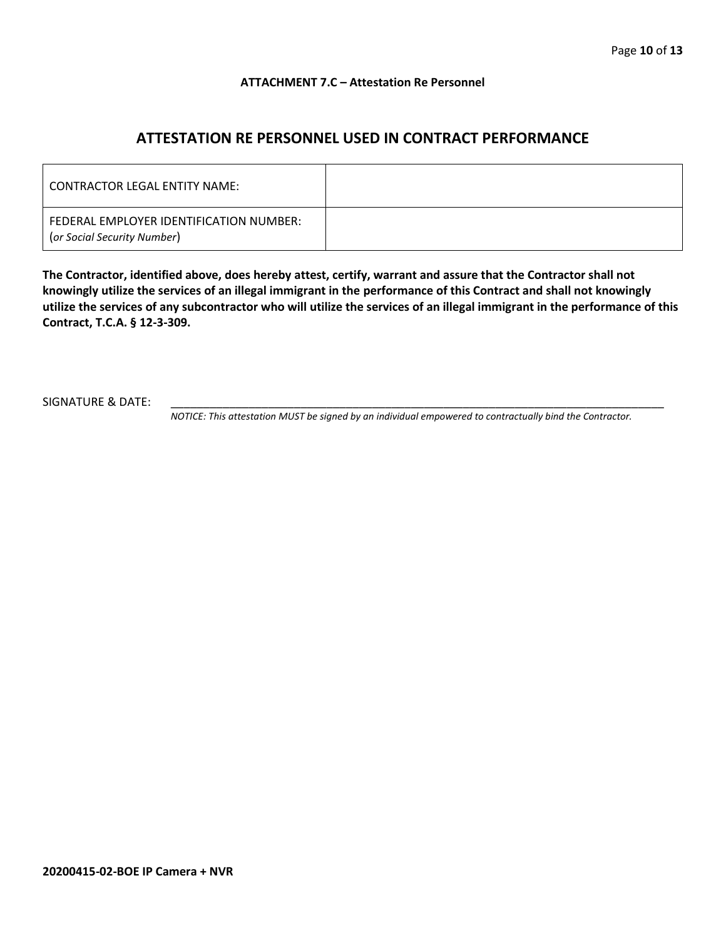### **ATTACHMENT 7.C – Attestation Re Personnel**

## **ATTESTATION RE PERSONNEL USED IN CONTRACT PERFORMANCE**

| CONTRACTOR LEGAL ENTITY NAME:                                          |  |
|------------------------------------------------------------------------|--|
| FEDERAL EMPLOYER IDENTIFICATION NUMBER:<br>(or Social Security Number) |  |

**The Contractor, identified above, does hereby attest, certify, warrant and assure that the Contractor shall not knowingly utilize the services of an illegal immigrant in the performance of this Contract and shall not knowingly utilize the services of any subcontractor who will utilize the services of an illegal immigrant in the performance of this Contract, T.C.A. § 12-3-309.**

SIGNATURE & DATE:

*NOTICE: This attestation MUST be signed by an individual empowered to contractually bind the Contractor.*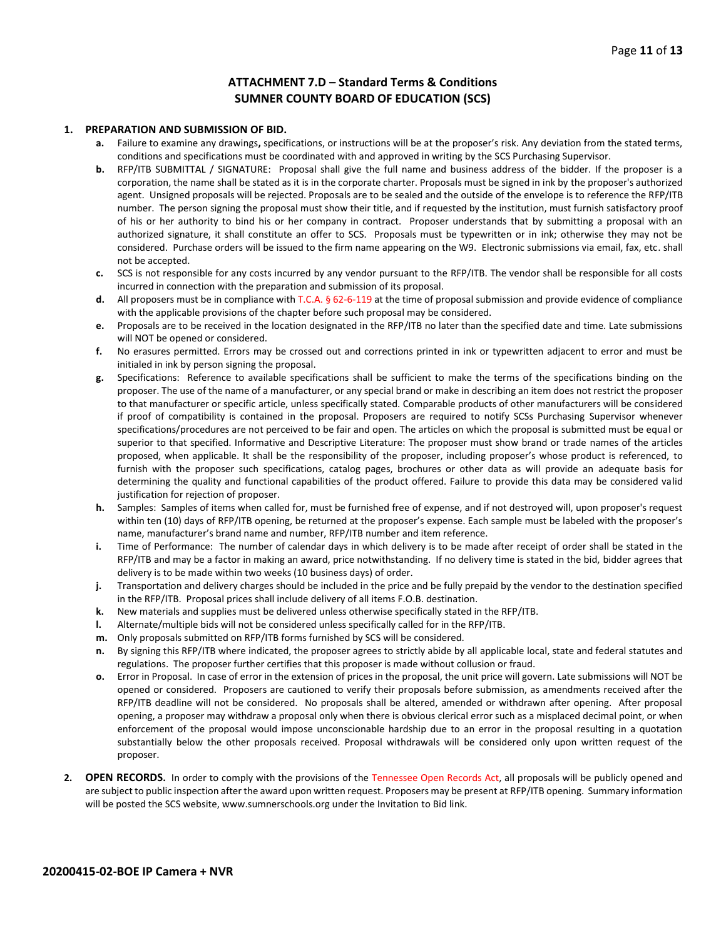### **ATTACHMENT 7.D – Standard Terms & Conditions SUMNER COUNTY BOARD OF EDUCATION (SCS)**

#### **1. PREPARATION AND SUBMISSION OF BID.**

- **a.** Failure to examine any drawings**,** specifications, or instructions will be at the proposer's risk. Any deviation from the stated terms, conditions and specifications must be coordinated with and approved in writing by the SCS Purchasing Supervisor.
- **b.** RFP/ITB SUBMITTAL / SIGNATURE: Proposal shall give the full name and business address of the bidder. If the proposer is a corporation, the name shall be stated as it is in the corporate charter. Proposals must be signed in ink by the proposer's authorized agent. Unsigned proposals will be rejected. Proposals are to be sealed and the outside of the envelope is to reference the RFP/ITB number. The person signing the proposal must show their title, and if requested by the institution, must furnish satisfactory proof of his or her authority to bind his or her company in contract. Proposer understands that by submitting a proposal with an authorized signature, it shall constitute an offer to SCS. Proposals must be typewritten or in ink; otherwise they may not be considered. Purchase orders will be issued to the firm name appearing on the W9. Electronic submissions via email, fax, etc. shall not be accepted.
- **c.** SCS is not responsible for any costs incurred by any vendor pursuant to the RFP/ITB. The vendor shall be responsible for all costs incurred in connection with the preparation and submission of its proposal.
- **d.** All proposers must be in compliance with T.C.A. § 62-6-119 at the time of proposal submission and provide evidence of compliance with the applicable provisions of the chapter before such proposal may be considered.
- **e.** Proposals are to be received in the location designated in the RFP/ITB no later than the specified date and time. Late submissions will NOT be opened or considered.
- **f.** No erasures permitted. Errors may be crossed out and corrections printed in ink or typewritten adjacent to error and must be initialed in ink by person signing the proposal.
- **g.** Specifications: Reference to available specifications shall be sufficient to make the terms of the specifications binding on the proposer. The use of the name of a manufacturer, or any special brand or make in describing an item does not restrict the proposer to that manufacturer or specific article, unless specifically stated. Comparable products of other manufacturers will be considered if proof of compatibility is contained in the proposal. Proposers are required to notify SCSs Purchasing Supervisor whenever specifications/procedures are not perceived to be fair and open. The articles on which the proposal is submitted must be equal or superior to that specified. Informative and Descriptive Literature: The proposer must show brand or trade names of the articles proposed, when applicable. It shall be the responsibility of the proposer, including proposer's whose product is referenced, to furnish with the proposer such specifications, catalog pages, brochures or other data as will provide an adequate basis for determining the quality and functional capabilities of the product offered. Failure to provide this data may be considered valid justification for rejection of proposer.
- **h.** Samples: Samples of items when called for, must be furnished free of expense, and if not destroyed will, upon proposer's request within ten (10) days of RFP/ITB opening, be returned at the proposer's expense. Each sample must be labeled with the proposer's name, manufacturer's brand name and number, RFP/ITB number and item reference.
- **i.** Time of Performance: The number of calendar days in which delivery is to be made after receipt of order shall be stated in the RFP/ITB and may be a factor in making an award, price notwithstanding. If no delivery time is stated in the bid, bidder agrees that delivery is to be made within two weeks (10 business days) of order.
- **j.** Transportation and delivery charges should be included in the price and be fully prepaid by the vendor to the destination specified in the RFP/ITB. Proposal prices shall include delivery of all items F.O.B. destination.
- **k.** New materials and supplies must be delivered unless otherwise specifically stated in the RFP/ITB.
- **l.** Alternate/multiple bids will not be considered unless specifically called for in the RFP/ITB.
- **m.** Only proposals submitted on RFP/ITB forms furnished by SCS will be considered.
- **n.** By signing this RFP/ITB where indicated, the proposer agrees to strictly abide by all applicable local, state and federal statutes and regulations. The proposer further certifies that this proposer is made without collusion or fraud.
- **o.** Error in Proposal. In case of error in the extension of prices in the proposal, the unit price will govern. Late submissions will NOT be opened or considered. Proposers are cautioned to verify their proposals before submission, as amendments received after the RFP/ITB deadline will not be considered. No proposals shall be altered, amended or withdrawn after opening. After proposal opening, a proposer may withdraw a proposal only when there is obvious clerical error such as a misplaced decimal point, or when enforcement of the proposal would impose unconscionable hardship due to an error in the proposal resulting in a quotation substantially below the other proposals received. Proposal withdrawals will be considered only upon written request of the proposer.
- **2. OPEN RECORDS.** In order to comply with the provisions of the Tennessee Open Records Act, all proposals will be publicly opened and are subject to public inspection after the award upon written request. Proposers may be present at RFP/ITB opening. Summary information will be posted the SCS website, www.sumnerschools.org under the Invitation to Bid link.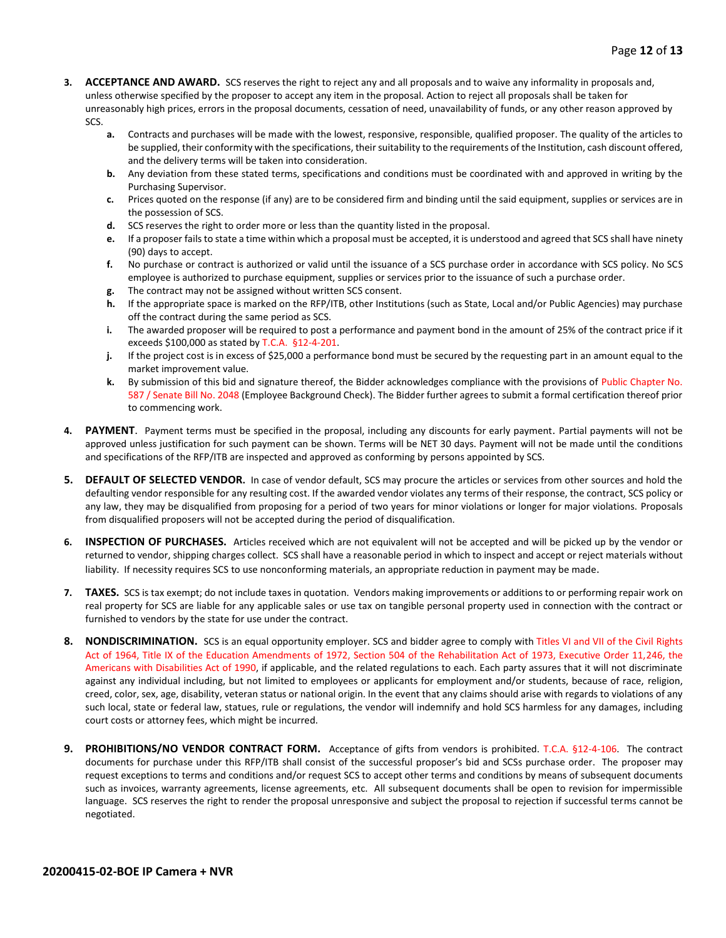- **3. ACCEPTANCE AND AWARD.** SCS reserves the right to reject any and all proposals and to waive any informality in proposals and, unless otherwise specified by the proposer to accept any item in the proposal. Action to reject all proposals shall be taken for unreasonably high prices, errors in the proposal documents, cessation of need, unavailability of funds, or any other reason approved by SCS.
	- **a.** Contracts and purchases will be made with the lowest, responsive, responsible, qualified proposer. The quality of the articles to be supplied, their conformity with the specifications, their suitability to the requirements of the Institution, cash discount offered, and the delivery terms will be taken into consideration.
	- **b.** Any deviation from these stated terms, specifications and conditions must be coordinated with and approved in writing by the Purchasing Supervisor.
	- **c.** Prices quoted on the response (if any) are to be considered firm and binding until the said equipment, supplies or services are in the possession of SCS.
	- **d.** SCS reserves the right to order more or less than the quantity listed in the proposal.
	- **e.** If a proposer fails to state a time within which a proposal must be accepted, it is understood and agreed that SCS shall have ninety (90) days to accept.
	- **f.** No purchase or contract is authorized or valid until the issuance of a SCS purchase order in accordance with SCS policy. No SCS employee is authorized to purchase equipment, supplies or services prior to the issuance of such a purchase order.
	- **g.** The contract may not be assigned without written SCS consent.
	- **h.** If the appropriate space is marked on the RFP/ITB, other Institutions (such as State, Local and/or Public Agencies) may purchase off the contract during the same period as SCS.
	- **i.** The awarded proposer will be required to post a performance and payment bond in the amount of 25% of the contract price if it exceeds \$100,000 as stated by T.C.A. §12-4-201.
	- **j.** If the project cost is in excess of \$25,000 a performance bond must be secured by the requesting part in an amount equal to the market improvement value.
	- **k.** By submission of this bid and signature thereof, the Bidder acknowledges compliance with the provisions of Public Chapter No. 587 / Senate Bill No. 2048 (Employee Background Check). The Bidder further agrees to submit a formal certification thereof prior to commencing work.
- **4. PAYMENT**. Payment terms must be specified in the proposal, including any discounts for early payment. Partial payments will not be approved unless justification for such payment can be shown. Terms will be NET 30 days. Payment will not be made until the conditions and specifications of the RFP/ITB are inspected and approved as conforming by persons appointed by SCS.
- **5. DEFAULT OF SELECTED VENDOR.** In case of vendor default, SCS may procure the articles or services from other sources and hold the defaulting vendor responsible for any resulting cost. If the awarded vendor violates any terms of their response, the contract, SCS policy or any law, they may be disqualified from proposing for a period of two years for minor violations or longer for major violations. Proposals from disqualified proposers will not be accepted during the period of disqualification.
- **6. INSPECTION OF PURCHASES.** Articles received which are not equivalent will not be accepted and will be picked up by the vendor or returned to vendor, shipping charges collect. SCS shall have a reasonable period in which to inspect and accept or reject materials without liability. If necessity requires SCS to use nonconforming materials, an appropriate reduction in payment may be made.
- **7. TAXES.** SCS is tax exempt; do not include taxes in quotation. Vendors making improvements or additions to or performing repair work on real property for SCS are liable for any applicable sales or use tax on tangible personal property used in connection with the contract or furnished to vendors by the state for use under the contract.
- **8. NONDISCRIMINATION.** SCS is an equal opportunity employer. SCS and bidder agree to comply with Titles VI and VII of the Civil Rights Act of 1964, Title IX of the Education Amendments of 1972, Section 504 of the Rehabilitation Act of 1973, Executive Order 11,246, the Americans with Disabilities Act of 1990, if applicable, and the related regulations to each. Each party assures that it will not discriminate against any individual including, but not limited to employees or applicants for employment and/or students, because of race, religion, creed, color, sex, age, disability, veteran status or national origin. In the event that any claims should arise with regards to violations of any such local, state or federal law, statues, rule or regulations, the vendor will indemnify and hold SCS harmless for any damages, including court costs or attorney fees, which might be incurred.
- **9. PROHIBITIONS/NO VENDOR CONTRACT FORM.** Acceptance of gifts from vendors is prohibited. T.C.A. §12-4-106. The contract documents for purchase under this RFP/ITB shall consist of the successful proposer's bid and SCSs purchase order. The proposer may request exceptions to terms and conditions and/or request SCS to accept other terms and conditions by means of subsequent documents such as invoices, warranty agreements, license agreements, etc. All subsequent documents shall be open to revision for impermissible language. SCS reserves the right to render the proposal unresponsive and subject the proposal to rejection if successful terms cannot be negotiated.